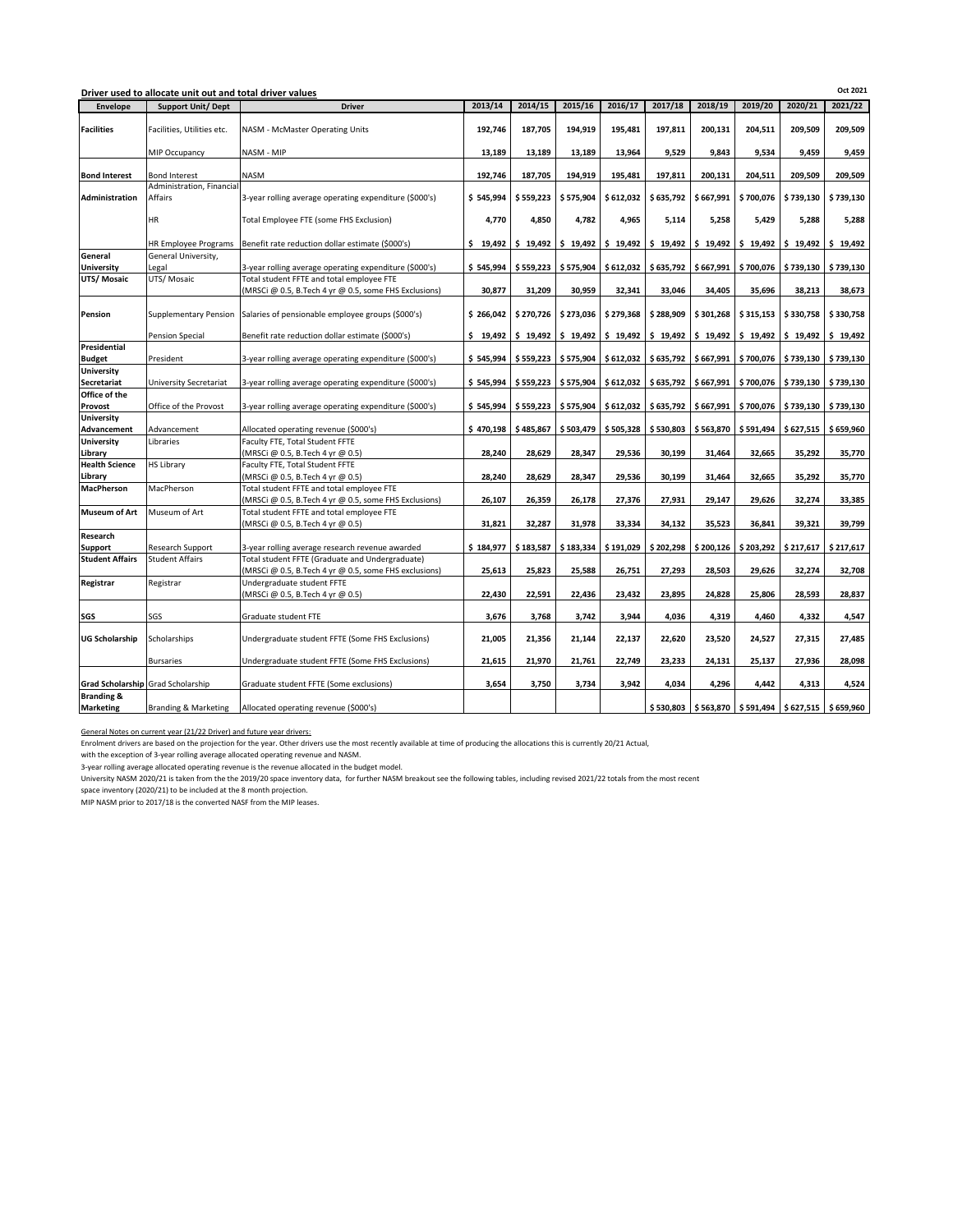| Oct 2021<br>Driver used to allocate unit out and total driver values |                                      |                                                                                                          |           |           |           |                     |           |           |                     |                                                           |                     |
|----------------------------------------------------------------------|--------------------------------------|----------------------------------------------------------------------------------------------------------|-----------|-----------|-----------|---------------------|-----------|-----------|---------------------|-----------------------------------------------------------|---------------------|
| Envelope                                                             | <b>Support Unit/ Dept</b>            | <b>Driver</b>                                                                                            | 2013/14   | 2014/15   | 2015/16   | 2016/17             | 2017/18   | 2018/19   | 2019/20             | 2020/21                                                   | 2021/22             |
| <b>Facilities</b>                                                    | Facilities, Utilities etc.           | NASM - McMaster Operating Units                                                                          | 192.746   | 187,705   | 194.919   | 195.481             | 197.811   | 200,131   | 204,511             | 209.509                                                   | 209.509             |
|                                                                      | MIP Occupancy                        | NASM - MIP                                                                                               | 13,189    | 13,189    | 13,189    | 13,964              | 9,529     | 9,843     | 9,534               | 9,459                                                     | 9,459               |
| <b>Bond Interest</b>                                                 | <b>Bond Interest</b>                 | <b>NASM</b>                                                                                              | 192.746   | 187.705   | 194,919   | 195,481             | 197,811   | 200,131   | 204.511             | 209.509                                                   | 209.509             |
| Administration                                                       | Administration, Financial<br>Affairs | 3-year rolling average operating expenditure (\$000's)                                                   | \$545,994 | \$559,223 | \$575,904 | \$612,032           | \$635,792 | \$667,991 | \$700,076           | \$739,130                                                 | \$739,130           |
|                                                                      | <b>HR</b>                            | Total Employee FTE (some FHS Exclusion)                                                                  | 4,770     | 4,850     | 4,782     | 4,965               | 5,114     | 5,258     | 5,429               | 5,288                                                     | 5,288               |
|                                                                      |                                      | HR Employee Programs Benefit rate reduction dollar estimate (\$000's)                                    | \$19,492  | \$19,492  |           | $$19,492$ $$19,492$ |           |           |                     | $$19,492$ $$19,492$ $$19,492$ $$19,492$ $$19,492$         | \$19,492            |
| General<br>University                                                | General University,<br>Legal         | 3-year rolling average operating expenditure (\$000's)                                                   | \$545,994 | \$559,223 | \$575,904 | \$612,032           | \$635,792 | \$667,991 | \$700,076           | \$739,130                                                 | \$739,130           |
| UTS/ Mosaic                                                          | UTS/Mosaic                           | Total student FFTE and total employee FTE<br>(MRSCi @ 0.5, B.Tech 4 yr @ 0.5, some FHS Exclusions)       | 30,877    | 31,209    | 30,959    | 32,341              | 33,046    | 34,405    | 35,696              | 38,213                                                    | 38,673              |
| Pension                                                              | Supplementary Pension                | Salaries of pensionable employee groups (\$000's)                                                        | \$266.042 | \$270.726 | \$273.036 | \$279,368           | \$288,909 | \$301,268 | \$315,153           | \$330,758                                                 | \$330.758           |
|                                                                      | <b>Pension Special</b>               | Benefit rate reduction dollar estimate (\$000's)                                                         | \$19,492  | \$19,492  |           | $$19,492$ $$19,492$ | \$19,492  |           | $$19,492$ $$19,492$ | \$19,492                                                  | \$19,492            |
| Presidential<br><b>Budget</b>                                        | President                            | 3-year rolling average operating expenditure (\$000's)                                                   | \$545.994 | \$559,223 | \$575,904 | \$612,032           | \$635,792 | \$667,991 | \$700,076           | \$739,130                                                 | \$739,130           |
| University<br>Secretariat                                            | <b>University Secretariat</b>        | 3-year rolling average operating expenditure (\$000's)                                                   | \$545,994 | \$559,223 | \$575,904 | \$612,032           | \$635,792 | \$667,991 | \$700,076           |                                                           | \$739,130 \$739,130 |
| Office of the<br>Provost                                             | Office of the Provost                |                                                                                                          | \$545.994 | \$559.223 | \$575,904 | \$612,032           | \$635,792 | \$667,991 | \$700,076           | \$739,130                                                 | \$739,130           |
| <b>University</b>                                                    |                                      | 3-year rolling average operating expenditure (\$000's)                                                   |           |           |           |                     |           |           |                     |                                                           |                     |
| Advancement                                                          | Advancement                          | Allocated operating revenue (\$000's)                                                                    | \$470,198 | \$485,867 | \$503,479 | \$505,328           | \$530,803 | \$563,870 | \$591,494           | \$627,515                                                 | \$659,960           |
| <b>University</b>                                                    | Libraries                            | Faculty FTE, Total Student FFTE                                                                          |           |           |           |                     |           |           |                     |                                                           |                     |
| Library                                                              |                                      | (MRSCi @ 0.5, B.Tech 4 yr @ 0.5)                                                                         | 28,240    | 28,629    | 28,347    | 29,536              | 30,199    | 31,464    | 32,665              | 35,292                                                    | 35,770              |
| <b>Health Science</b>                                                | <b>HS Library</b>                    | Faculty FTE, Total Student FFTE                                                                          |           |           |           |                     |           |           |                     |                                                           |                     |
| Library                                                              |                                      | (MRSCi @ 0.5, B.Tech 4 yr @ 0.5)                                                                         | 28,240    | 28,629    | 28.347    | 29,536              | 30,199    | 31,464    | 32,665              | 35,292                                                    | 35,770              |
| <b>MacPherson</b>                                                    | MacPherson                           | Total student FFTE and total employee FTE<br>(MRSCi @ 0.5, B.Tech 4 yr @ 0.5, some FHS Exclusions)       | 26,107    | 26,359    | 26,178    | 27,376              | 27,931    | 29,147    | 29,626              | 32,274                                                    | 33,385              |
| <b>Museum of Art</b>                                                 | Museum of Art                        | Total student FFTE and total employee FTE<br>(MRSCi @ 0.5, B.Tech 4 yr @ 0.5)                            | 31.821    | 32,287    | 31.978    | 33,334              | 34.132    | 35,523    | 36,841              | 39.321                                                    | 39,799              |
| Research                                                             |                                      |                                                                                                          |           |           |           |                     |           |           |                     |                                                           |                     |
| Support                                                              | Research Support                     | 3-year rolling average research revenue awarded                                                          | \$184,977 | \$183,587 | \$183,334 | \$191,029           | \$202,298 | \$200,126 | \$203,292           | \$217,617                                                 | \$217,617           |
| <b>Student Affairs</b>                                               | <b>Student Affairs</b>               | Total student FFTE (Graduate and Undergraduate)<br>(MRSCi @ 0.5, B.Tech 4 yr @ 0.5, some FHS exclusions) | 25,613    | 25,823    | 25,588    | 26,751              | 27,293    | 28,503    | 29,626              | 32,274                                                    | 32,708              |
| Registrar                                                            | Registrar                            | Undergraduate student FFTE<br>(MRSCi @ 0.5, B.Tech 4 yr @ 0.5)                                           | 22.430    | 22,591    | 22,436    | 23,432              | 23,895    | 24,828    | 25,806              | 28.593                                                    | 28,837              |
|                                                                      |                                      |                                                                                                          |           |           |           |                     |           |           |                     |                                                           |                     |
| SGS                                                                  | SGS                                  | Graduate student FTE                                                                                     | 3,676     | 3,768     | 3,742     | 3,944               | 4,036     | 4,319     | 4.460               | 4,332                                                     | 4,547               |
| <b>UG Scholarship</b>                                                | Scholarships                         | Undergraduate student FFTE (Some FHS Exclusions)                                                         | 21,005    | 21,356    | 21,144    | 22,137              | 22,620    | 23,520    | 24,527              | 27,315                                                    | 27,485              |
|                                                                      | <b>Bursaries</b>                     | Undergraduate student FFTE (Some FHS Exclusions)                                                         | 21,615    | 21,970    | 21,761    | 22,749              | 23,233    | 24,131    | 25,137              | 27,936                                                    | 28,098              |
|                                                                      | Grad Scholarship Grad Scholarship    | Graduate student FFTE (Some exclusions)                                                                  | 3,654     | 3,750     | 3,734     | 3,942               | 4,034     | 4,296     | 4,442               | 4,313                                                     | 4,524               |
| <b>Branding &amp;</b>                                                |                                      |                                                                                                          |           |           |           |                     |           |           |                     |                                                           |                     |
| <b>Marketing</b>                                                     | <b>Branding &amp; Marketing</b>      | Allocated operating revenue (\$000's)                                                                    |           |           |           |                     |           |           |                     | \$530,803   \$563,870   \$591,494   \$627,515   \$659,960 |                     |

General Notes on current year (21/22 Driver) and future year drivers:

Enrolment drivers are based on the projection for the year. Other drivers use the most recently available at time of producing the allocations this is currently 20/21 Actual,

with the exception of 3-year rolling average allocated operating revenue and NASM.

3-year rolling average allocated operating revenue is the revenue allocated in the budget model.

University NASM 2020/21 is taken from the the 2019/20 space inventory data, for further NASM breakout see the following tables, including revised 2021/22 totals from the most recent<br>space inventory (2020/21) to be included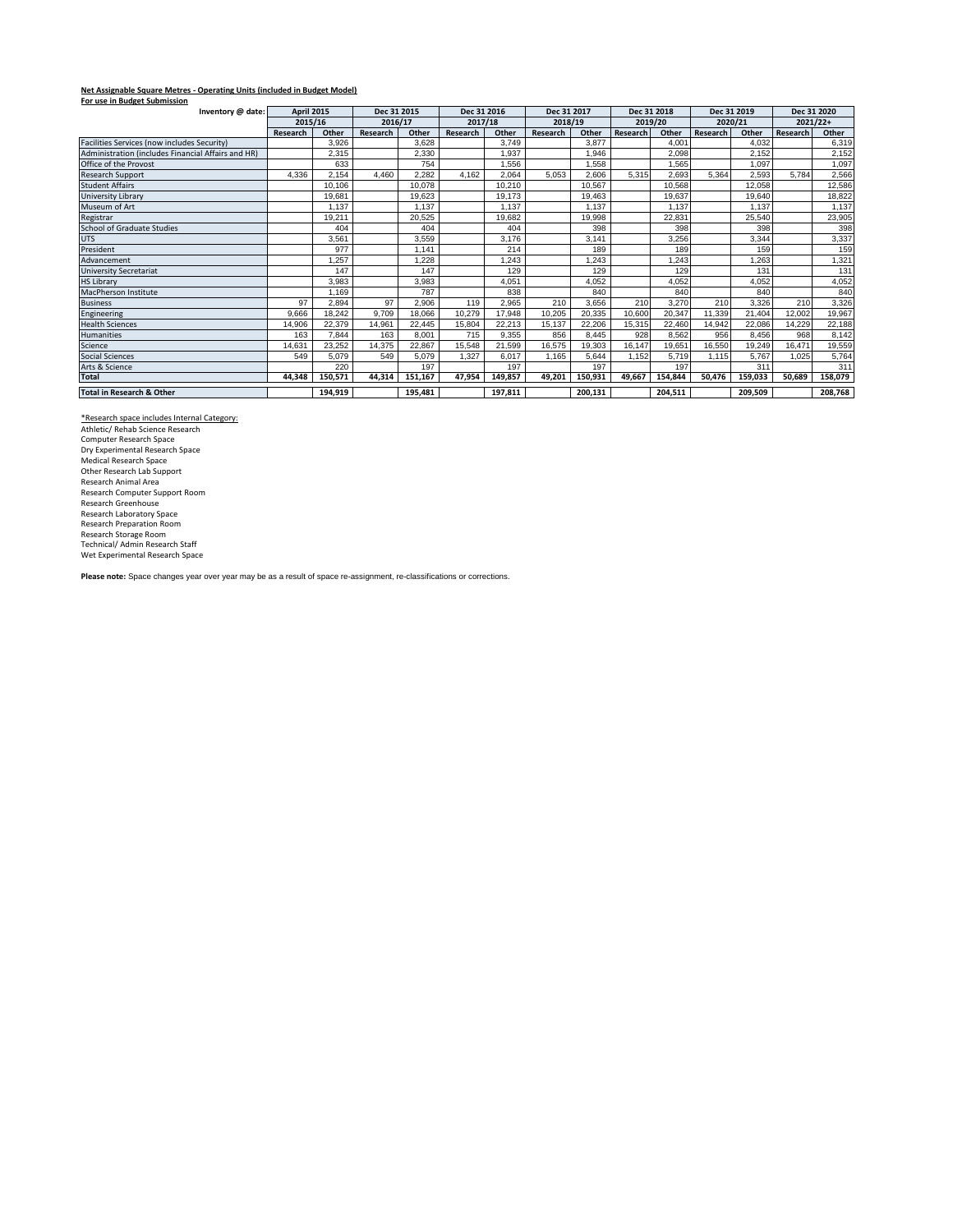## **Net Assignable Square Metres - Operating Units (included in Budget Model) For use in Budget Submission**

| rui use in buuget submission<br>Inventory @ date:  |          | <b>April 2015</b> |          | Dec 31 2015 |          | Dec 31 2016 |          | Dec 31 2017 |          | Dec 31 2018 |          | Dec 31 2019 |            | Dec 31 2020 |  |
|----------------------------------------------------|----------|-------------------|----------|-------------|----------|-------------|----------|-------------|----------|-------------|----------|-------------|------------|-------------|--|
|                                                    | 2015/16  |                   | 2016/17  |             | 2017/18  |             | 2018/19  |             | 2019/20  |             | 2020/21  |             | $2021/22+$ |             |  |
|                                                    | Research | Other             | Research | Other       | Research | Other       | Research | Other       | Research | Other       | Research | Other       | Research   | Other       |  |
| Facilities Services (now includes Security)        |          | 3.926             |          | 3.628       |          | 3.749       |          | 3.877       |          | 4.001       |          | 4.032       |            | 6,319       |  |
| Administration (includes Financial Affairs and HR) |          | 2.315             |          | 2,330       |          | 1.937       |          | 1.946       |          | 2.098       |          | 2.152       |            | 2,152       |  |
| Office of the Provost                              |          | 633               |          | 754         |          | 1.556       |          | 1,558       |          | 1.565       |          | 1.097       |            | 1,097       |  |
| <b>Research Support</b>                            | 4.336    | 2,154             | 4.460    | 2.282       | 4.162    | 2,064       | 5.053    | 2,606       | 5.315    | 2,693       | 5.364    | 2,593       | 5.784      | 2,566       |  |
| <b>Student Affairs</b>                             |          | 10.106            |          | 10.078      |          | 10.210      |          | 10,567      |          | 10,568      |          | 12,058      |            | 12,586      |  |
| University Library                                 |          | 19,681            |          | 19,623      |          | 19,173      |          | 19,463      |          | 19,637      |          | 19,640      |            | 18,822      |  |
| Museum of Art                                      |          | 1.137             |          | 1.137       |          | 1.137       |          | 1.137       |          | 1.137       |          | 1.137       |            | 1,137       |  |
| Registrar                                          |          | 19,211            |          | 20,525      |          | 19,682      |          | 19,998      |          | 22,831      |          | 25,540      |            | 23,905      |  |
| <b>School of Graduate Studies</b>                  |          | 404               |          | 404         |          | 404         |          | 398         |          | 398         |          | 398         |            | 398         |  |
| <b>UTS</b>                                         |          | 3,561             |          | 3.559       |          | 3,176       |          | 3.141       |          | 3,256       |          | 3,344       |            | 3,337       |  |
| President                                          |          | 977               |          | .141        |          | 214         |          | 189         |          | 189         |          | 159         |            | 159         |  |
| Advancement                                        |          | .257              |          | .228        |          | 1,243       |          | 1,243       |          | .243        |          | 1,263       |            | 1,321       |  |
| <b>University Secretariat</b>                      |          | 147               |          | 147         |          | 129         |          | 129         |          | 129         |          | 131         |            | 131         |  |
| <b>HS Library</b>                                  |          | 3,983             |          | 3,983       |          | 4,051       |          | 4,052       |          | 4,052       |          | 4,052       |            | 4,052       |  |
| MacPherson Institute                               |          | 1.169             |          | 787         |          | 838         |          | 840         |          | 840         |          | 840         |            | 840         |  |
| <b>Business</b>                                    | 97       | 2.894             | 97       | 2.906       | 119      | 2,965       | 210      | 3,656       | 210      | 3,270       | 210      | 3,326       | 210        | 3,326       |  |
| Engineering                                        | 9.666    | 18.242            | 9.709    | 18.066      | 10.279   | 17.948      | 10.205   | 20.335      | 10.600   | 20,347      | 11.339   | 21.404      | 12.002     | 19,967      |  |
| <b>Health Sciences</b>                             | 14.906   | 22.379            | 14.961   | 22.445      | 15.804   | 22.213      | 15.137   | 22,206      | 15.315   | 22,460      | 14,942   | 22.086      | 14.229     | 22,188      |  |
| <b>Humanities</b>                                  | 163      | 7.844             | 163      | 8.001       | 715      | 9.355       | 856      | 8.445       | 928      | 8.562       | 956      | 8.456       | 968        | 8,142       |  |
| Science                                            | 14.631   | 23.252            | 14,375   | 22.867      | 15.548   | 21.599      | 16.575   | 19.303      | 16.147   | 19.651      | 16.550   | 19.249      | 16.471     | 19,559      |  |
| <b>Social Sciences</b>                             | 549      | 5,079             | 549      | 5,079       | 1.327    | 6.017       | 1.165    | 5,644       | 1.152    | 5,719       | 1.115    | 5.767       | 1.025      | 5,764       |  |
| Arts & Science                                     |          | 220               |          | 197         |          | 197         |          | 197         |          | 197         |          | 311         |            | 311         |  |
| <b>Total</b>                                       | 44.348   | 150.571           | 44.314   | 151.167     | 47.954   | 149.857     | 49.201   | 150.931     | 49.667   | 154.844     | 50.476   | 159.033     | 50.689     | 158,079     |  |
| <b>Total in Research &amp; Other</b>               |          | 194,919           |          | 195.481     |          | 197.811     |          | 200,131     |          | 204,511     |          | 209.509     |            | 208,768     |  |

<u>\*Research space includes Internal Category:</u><br>Athletic/ Rehab Science Research<br>Computer Research Space Dry Experimental Research Space<br>Medical Research Space<br>Other Research Lab Support<br>Research Animal Area<br>Research Computer Support Room<br>Research Greenhouse<br>Research Tepparation Room<br>Research Preparation Room<br>Research Storage

**Please note:** Space changes year over year may be as a result of space re-assignment, re-classifications or corrections.